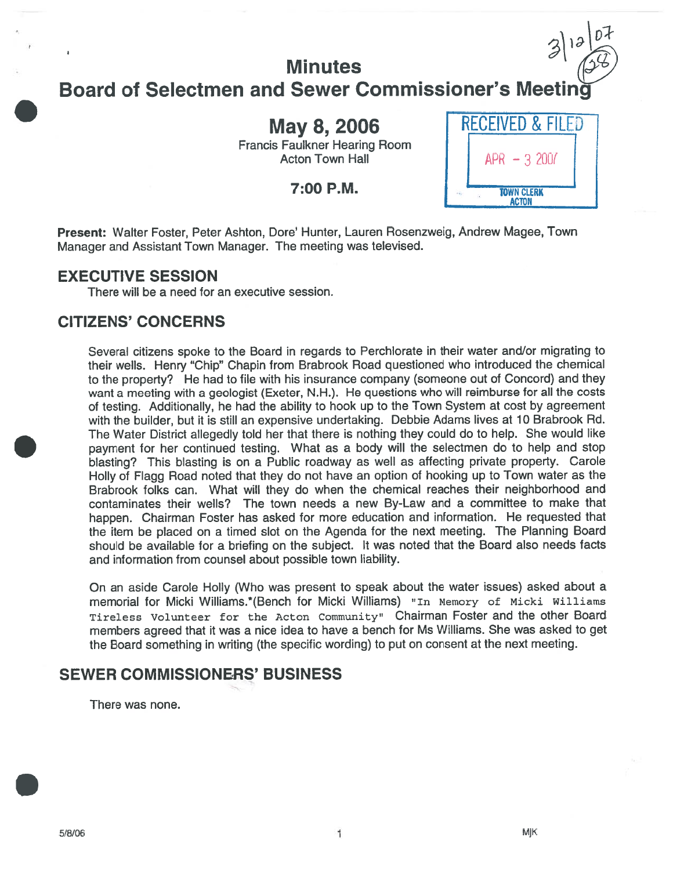# **Minutes** Board of Selectmen and Sewer Commissioner's Meeting

Francis Faulkner Hearing Room Acton Town Hall

7:00 P.M.



 $\mathcal{D}$ 

Present: Walter Foster, Peter Ashton, Dore' Hunter, Lauren Rosenzweig, Andrew Magee, Town Manager and Assistant Town Manager. The meeting was televised.

### EXECUTIVE SESSION

There will be <sup>a</sup> need for an executive session.

# CITIZENS' CONCERNS

Several citizens spoke to the Board in regards to Perchlorate in their water and/or migrating to their wells. Henry "Chip" Chapin from Brabrook Road questioned who introduced the chemical to the property? He had to file with his insurance company (someone out of Concord) and they want <sup>a</sup> meeting with <sup>a</sup> geologist (Exeter, N.H.). He questions who will reimburse for all the costs of testing. Additionally, he had the ability to hook up to the Town System at cost by agreemen<sup>t</sup> with the builder, but it is still an expensive undertaking. Debbie Adams lives at <sup>10</sup> Brabrook Rd. The Water District allegedly told her that there is nothing they could do to help. She would like paymen<sup>t</sup> for her continued testing. What as <sup>a</sup> body will the selectmen do to help and stop blasting? This blasting is on <sup>a</sup> Public roadway as well as affecting private property. Carole Holly of Flagg Road noted that they do not have an option of hooking up to Town water as the Brabrook folks can. What will they do when the chemical reaches their neighborhood and contaminates their wells? The town needs <sup>a</sup> new By-Law and <sup>a</sup> committee to make that happen. Chairman Foster has asked for more education and information. He requested that the item be <sup>p</sup>laced on <sup>a</sup> timed slot on the Agenda for the next meeting. The Planning Board should be available for <sup>a</sup> briefing on the subject. It was noted that the Board also needs facts and information from counsel about possible town liability.

On an aside Carole Holly (Who was presen<sup>t</sup> to spea<sup>k</sup> about the water issues) asked about <sup>a</sup> memorial for Micki Williams.\*(Bench for Micki Williams) "In Memory of Micki Williams Tireless Volunteer for the Acton Community" Chairman Foster and the other Board members agreed that it was <sup>a</sup> nice idea to have <sup>a</sup> bench for Ms Williams. She was asked to ge<sup>t</sup> the Board something in writing (the specific wording) to pu<sup>t</sup> on consent at the next meeting.

## SEWER COMMISSIONERS' BUSINESS

There was none.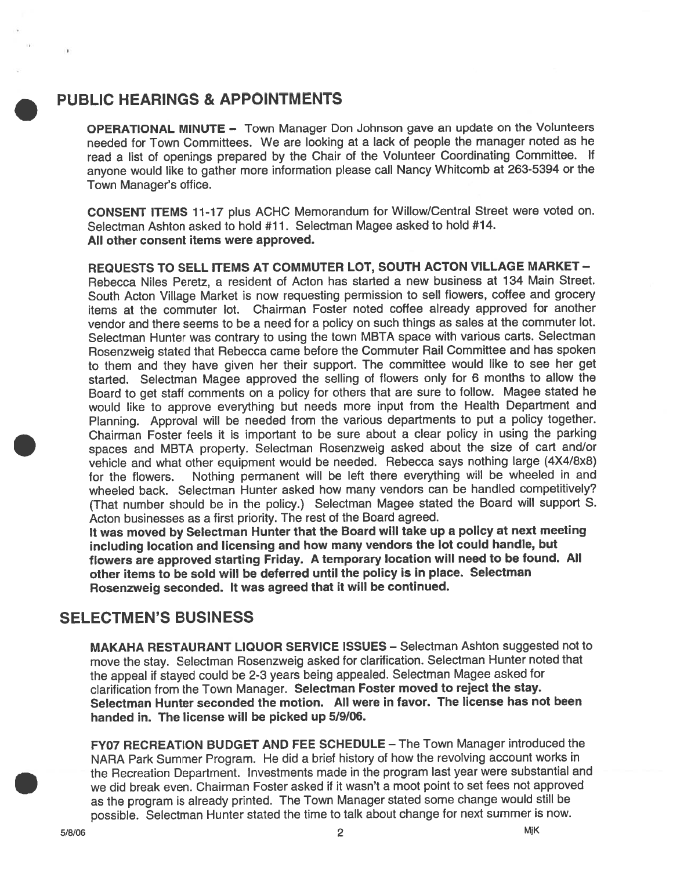# PUBLIC HEARINGS & APPOINTMENTS

OPERATIONAL MINUTE — Town Manager Don Johnson gave an update on the Volunteers needed for Town Committees. We are looking at <sup>a</sup> lack of people the manager noted as he read <sup>a</sup> list of openings prepare<sup>d</sup> by the Chair of the Volunteer Coordinating Committee. If anyone would like to gather more information <sup>p</sup>lease call Nancy Whitcomb at 263-5394 or the Town Manager's office.

CONSENT ITEMS 11-17 <sup>p</sup>lus ACHC Memorandum for Willow/Central Street were voted on. Selectman Ashton asked to hold #11. Selectman Magee asked to hold #14. All other consent items were approved.

REQUESTS TO SELL ITEMS AT COMMUTER LOT, SOUTH ACTON VILLAGE MARKET — Rebecca Niles Peretz, a resident of Acton has started a new business at 134 Main Street South Acton Village Market is now requesting permission to sell flowers, coffee and grocery items at the commuter lot. Chairman Foster noted coffee already approved for another vendor and there seems to be <sup>a</sup> need for <sup>a</sup> policy on such things as sales at the commuter lot. Selectman Hunter was contrary to using the town MBTA space with various carts. Selectman Rosenzweig stated that Rebecca came before the Commuter Rail Committee and has spoken to them and they have <sup>g</sup>iven her their support. The committee would like to see her ge<sup>t</sup> started. Selectman Magee approve<sup>d</sup> the selling of flowers only for <sup>6</sup> months to allow the Board to ge<sup>t</sup> staff comments on <sup>a</sup> policy for others that are sure to follow. Magee stated he would like to approve everything but needs more input from the Health Department and Planning. Approval will be needed from the various departments to pu<sup>t</sup> <sup>a</sup> policy together. Chairman Foster feels it is important to be sure about <sup>a</sup> clear policy in using the parking spaces and MBTA property. Selectman Rosenzweig asked about the size of cart and/or vehicle and what other equipment would be needed. Rebecca says nothing large (4X4/8x8) for the flowers. Nothing permanen<sup>t</sup> will be left there everything will be wheeled in and wheeled back. Selectman Hunter asked how many vendors can be handled competitively? (That number should be in the policy.) Selectman Magee stated the Board will suppor<sup>t</sup> S. Acton businesses as <sup>a</sup> first priority. The rest of the Board agreed.

It was moved by Selectman Hunter that the Board will take up <sup>a</sup> policy at next meeting including location and licensing and how many vendors the lot could handle, but flowers are approved starting Friday. <sup>A</sup> temporary location will need to be found. All other items to be sold will be deferred until the policy is in place. Selectman Rosenzweig seconded. It was agree<sup>d</sup> that it will be continued.

## SELECTMEN'S BUSINESS

MAKAHA RESTAURANT LIQUOR SERVICE ISSUES — Selectman Ashton suggested not to move the stay. Selectman Rosenzweig asked for clarification. Selectman Hunter noted that the appea<sup>l</sup> if stayed could be 2-3 years being appealed. Selectman Magee asked for clarification from the Town Manager. Selectman Foster moved to reject the stay. Selectman Hunter seconded the motion. All were in favor. The license has not been handed in. The license will be picked up 5/9/06.

FY07 RECREATION BUDGET AND FEE SCHEDULE – The Town Manager introduced the NARA Park Summer Program. He did <sup>a</sup> brief history of how the revolving account works in the Recreation Department. Investments made in the program last year were substantial and we did break even. Chairman Foster asked if it wasn't <sup>a</sup> moot point to set fees not approved as the program is already printed. The Town Manager stated some change would still be possible. Selectman Hunter stated the time to talk about change for next summer is now.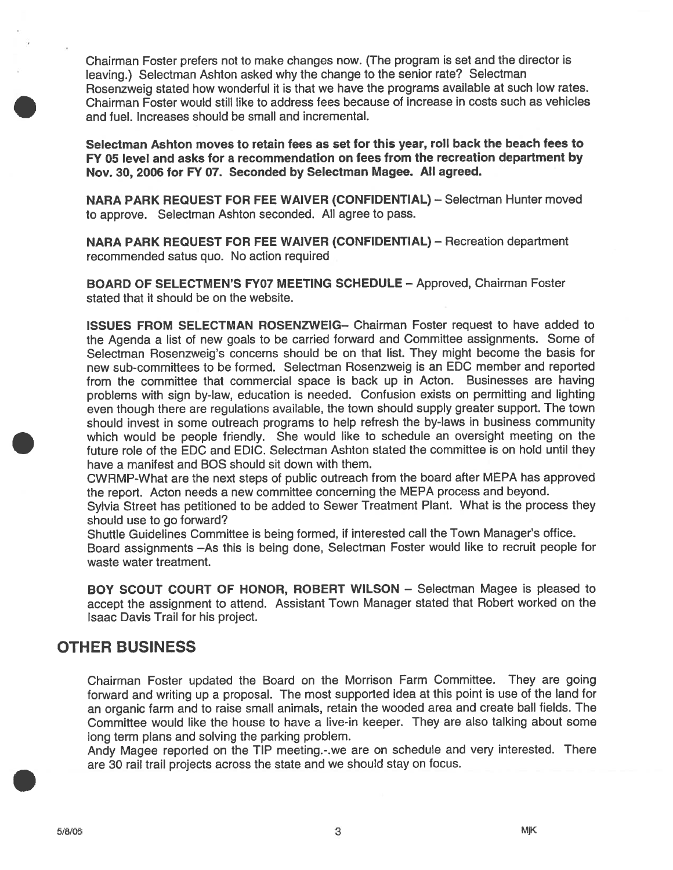Chairman Foster prefers not to make changes now. (The program is set and the director is leaving.) Selectman Ashton asked why the change to the senior rate? Selectman Rosenzweig stated how wonderful it is that we have the programs available at such low rates. Chairman Foster would still like to address fees because of increase in costs such as vehicles and fuel. Increases should be small and incremental.

Selectman Ashton moves to retain fees as set for this year, roll back the beach fees to FY 05 level and asks for <sup>a</sup> recommendation on fees from the recreation department by Nov. 30, 2006 for FY 07. Seconded by Selectman Magee. All agreed.

NARA PARK REQUEST FOR FEE WAIVER (CONFIDENTIAL) — Selectman Hunter moved to approve. Selectman Ashton seconded. All agree to pass.

NARA PARK REQUEST FOR FEE WAIVER (CONFIDENTIAL) — Recreation department recommended satus quo. No action required

BOARD OF SELECTMEN'S FY07 MEETING SCHEDULE — Approved, Chairman Foster stated that it should be on the website.

ISSUES FROM SELECTMAN ROSENZWEIG— Chairman Foster reques<sup>t</sup> to have added to the Agenda <sup>a</sup> list of new goals to be carried forward and Committee assignments. Some of Selectman Rosenzweig's concerns should be on that list. They might become the basis for new sub-committees to be formed. Selectman Rosenzweig is an EDC member and reported from the committee that commercial space is back up in Acton. Businesses are having problems with sign by-law, education is needed. Confusion exists on permitting and lighting even though there are regulations available, the town should supply greater support. The town should invest in some outreach programs to help refresh the by-laws in business community which would be people friendly. She would like to schedule an oversight meeting on the future role of the EDC and EDIC. Selectman Ashton stated the committee is on hold until they have <sup>a</sup> manifest and BOS should sit down with them.

CWRMP-What are the next steps of public outreach from the board after MEPA has approved the report. Acton needs <sup>a</sup> new committee concerning the MEPA process and beyond.

Sylvia Street has petitioned to be added to Sewer Treatment Plant. What is the process they should use to go forward?

Shuttle Guidelines Committee is being formed, if interested call the Town Manager's office. Board assignments —As this is being done, Selectman Foster would like to recruit people for waste water treatment.

BOY SCOUT COURT OF HONOR, ROBERT WILSON — Selectman Magee is pleased to accep<sup>t</sup> the assignment to attend. Assistant Town Manager stated that Robert worked on the Isaac Davis Trail for his project.

## OTHER BUSINESS

Chairman Foster updated the Board on the Morrison Farm Committee. They are going forward and writing up <sup>a</sup> proposal. The most supported idea at this point is use of the land for an organic farm and to raise small animals, retain the wooded area and create ball fields. The Committee would like the house to have <sup>a</sup> live-in keeper. They are also talking about some long term plans and solving the parking problem.

Andy Magee reported on the TIP meeting.-.we are on schedule and very interested. There are <sup>30</sup> rail trail projects across the state and we should stay on focus.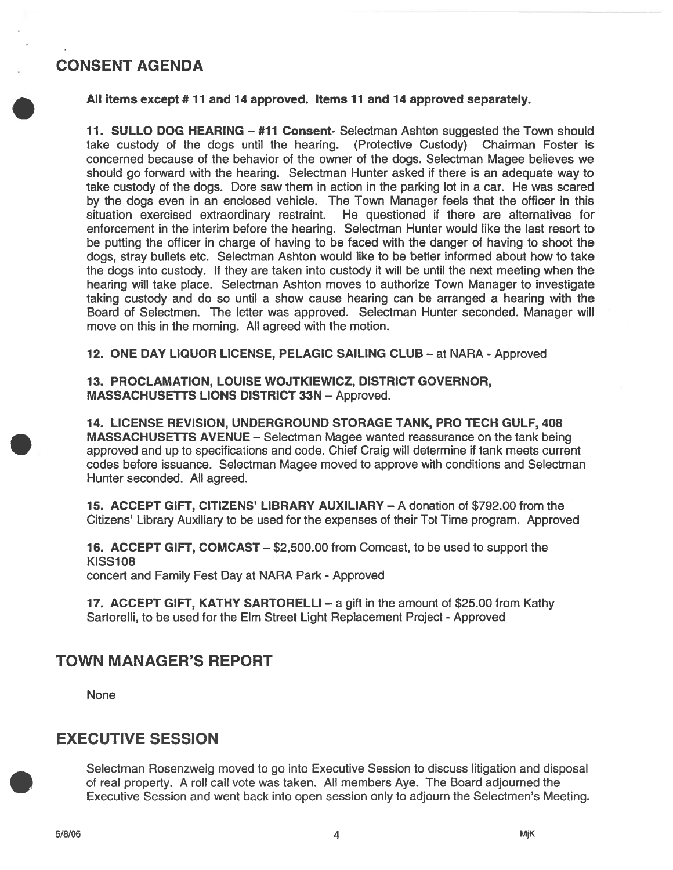# CONSENT AGENDA

All items excep<sup>t</sup> # 11 and 14 approved. Items 11 and 14 approved separately.

11. SULLO DOG HEARING — #71 Consent- Selectman Ashton suggested the Town should take custody of the dogs until the hearing. (Protective Custody) Chairman Foster is concerned because of the behavior of the owner of the dogs. Selectman Magee believes we should go forward with the hearing. Selectman Hunter asked if there is an adequate way to take custody of the dogs. Dore saw them in action in the parking lot in <sup>a</sup> car. He was scared by the dogs even in an enclosed vehicle. The Town Manager feels that the officer in this situation exercised extraordinary restraint. He questioned if there are alternatives for enforcement in the interim before the hearing. Selectman Hunter would like the last resort to be puffing the officer in charge of having to be faced with the danger of having to shoot the dogs, stray bullets etc. Selectman Ashton would like to be better informed about how to take the dogs into custody. If they are taken into custody it will be until the next meeting when the hearing will take place. Selectman Ashton moves to authorize Town Manager to investigate taking custody and do so until <sup>a</sup> show cause hearing can be arranged <sup>a</sup> hearing with the Board of Selectmen. The letter was approved. Selectman Hunter seconded. Manager will move on this in the morning. All agreed with the motion.

12. ONE DAY LIQUOR LICENSE, PELAGIC SAILING CLUB - at NARA - Approved

13. PROCLAMATION, LOUISE WOJTKIEWICZ, DISTRICT GOVERNOR, MASSACHUSETTS LIONS DISTRICT 33N — Approved.

14. LICENSE REVISION, UNDERGROUND STORAGE TANK, PRO TECH GULF, 408 MASSACHUSETTS AVENUE — Selectman Magee wanted reassurance on the tank being approved and up to specifications and code. Chief Craig will determine if tank meets current codes before issuance. Selectman Magee moved to approve with conditions and Selectman Hunter seconded. All agreed.

15. ACCEPT GIFT, CITIZENS' LIBRARY AUXILIARY — A donation of \$792.00 from the Citizens' Library Auxiliary to be used for the expenses of their Tot Time program. Approved

16. ACCEPT GIFT, COMCAST — \$2,500.00 from Comcast, to be used to suppor<sup>t</sup> the **KISS108** concert and Family Fest Day at NARA Park - Approved

17. ACCEPT GIFT, KATHY SARTORELLI — <sup>a</sup> gift in the amount of \$25.00 from Kathy Sartorelli, to be used for the Elm Street Light Replacement Project - Approved

# TOWN MANAGER'S REPORT

None

## EXECUTIVE SESSION

Selectman Rosenzweig moved to go into Executive Session to discuss litigation and disposal of real property. A roll call vote was taken. All members Aye. The Board adjourned the Executive Session and went back into open session only to adjourn the Selectmen's Meeting.

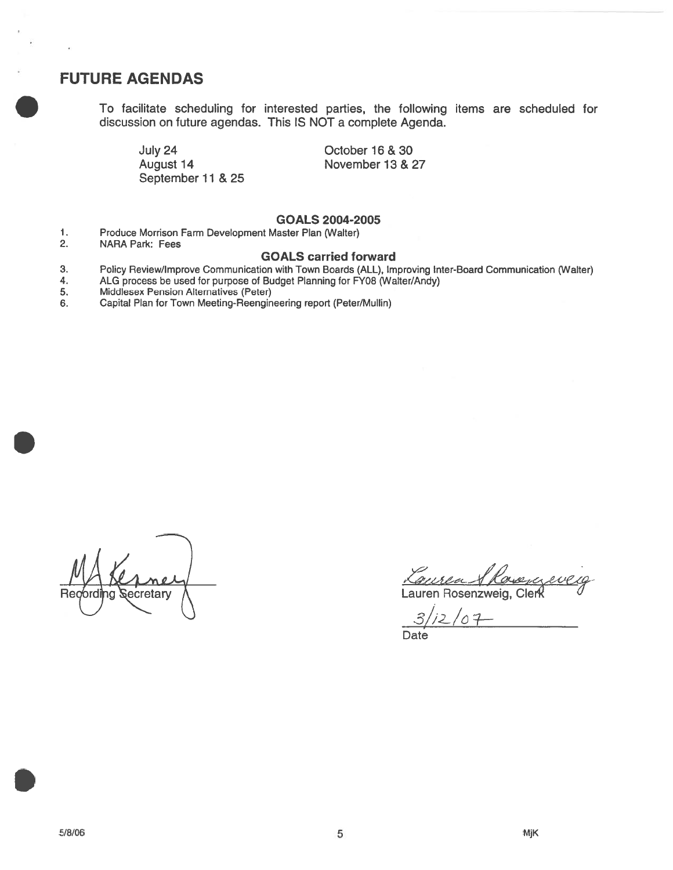### FUTURE AGENDAS

To facilitate scheduling for interested parties, the following items are scheduled for discussion on future agendas. This IS NOT <sup>a</sup> complete Agenda.

July 24 August 14 September 11 & 25 October 16 & 30 November 13 & 27

#### GOALS 2004-2005

- 1. Produce Morrison Farm Development Master Plan (Walter)
- NARA Park: Fees

#### GOALS carried forward

- 3. Policy Review/Improve Communication with Town Boards (ALL), Improving Inter-Board Communication (Walter)
- 4. ALG process be used for purpose of Budget Planning for FY08 (Walter/Andy)<br>5. Middlesex Pension Alternatives (Peter)
- 5. Middlesex Pension Alternatives (Peter)
- 6. Capital Plan for Town Meeting-Reengineenng repor<sup>t</sup> (Peter/Mullin)

MA ecretary

aurea & Rosen Lauren Rosenzweig, Clerk

 $3/12/07$ Date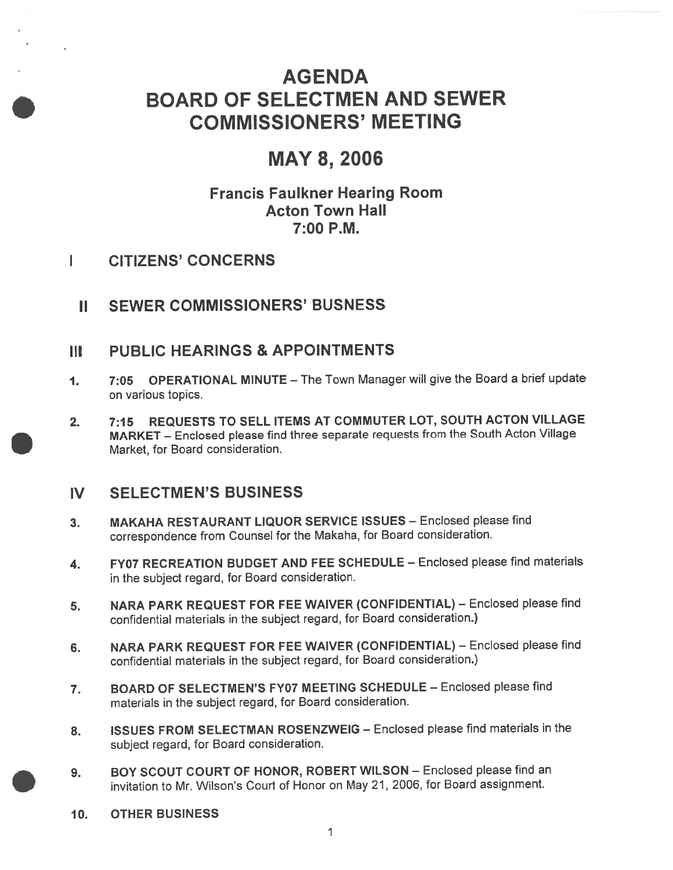# AGENDA BOARD OF SELECTMEN AND SEWER COMMISSIONERS' MEETING

# MAY 8, 2006

# Francis Faulkner Hearing Room Acton Town Hall 7:00 P.M.

- I CITIZENS' CONCERNS
	- II SEWER COMMISSIONERS' BUSNESS

## Ill PUBLIC HEARINGS & APPOINTMENTS

- 1. 7:05 OPERATIONAL MINUTE The Town Manager will <sup>g</sup>ive the Board <sup>a</sup> brief update on various topics.
- 2. 7:15 REQUESTS TO SELL ITEMS AT COMMUTER LOT, SOUTH ACTON VILLAGE MARKET — Enclosed <sup>p</sup>lease find three separate requests from the South Acton Village Market, for Board consideration.

# IV SELECTMEN'S BUSINESS

- 3. MAKAHA RESTAURANT LIQUOR SERVICE ISSUES Enclosed <sup>p</sup>lease find correspondence from Counsel for the Makaha, for Board consideration.
- 4. FY07 RECREATION BUDGET AND FEE SCHEDULE Enclosed <sup>p</sup>lease find materials in the subject regard, for Board consideration.
- 5. NARA PARK REQUEST FOR FEE WAIVER (CONFIDENTIAL) Enclosed <sup>p</sup>lease find confidential materials in the subject regard, for Board consideration.)
- 6. NARA PARK REQUEST FOR FEE WAIVER (CONFIDENTIAL) Enclosed <sup>p</sup>lease find confidential materials in the subject regard, for Board consideration.)
- 7. BOARD OF SELECTMEN'S FY07 MEETING SCHEDULE Enclosed <sup>p</sup>lease find materials in the subject regard, for Board consideration.
- 8. ISSUES FROM SELECTMAN ROSENZWEIG Enclosed <sup>p</sup>lease find materials in the subject regard, for Board consideration.
- 9. BOY SCOUT COURT OF HONOR, ROBERT WILSON Enclosed <sup>p</sup>lease find an invitation to Mr. Wilson's Court of Honor on May 21, 2006, for Board assignment.
- 10. OTHER BUSINESS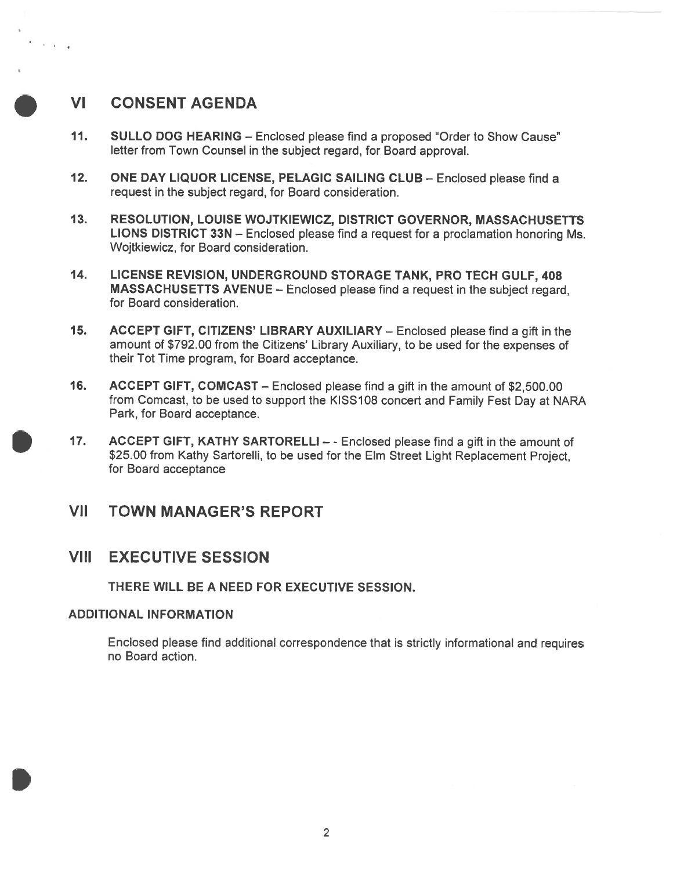# VI CONSENT AGENDA

. . . .

- 11. SULLO DOG HEARING Enclosed <sup>p</sup>lease find <sup>a</sup> proposed 'Order to Show Cause" letter from Town Counsel in the subject regard, for Board approval.
- 12. ONE DAY LIQUOR LICENSE, PELAGIC SAILING CLUB Enclosed please find a reques<sup>t</sup> in the subject regard, for Board consideration.
- 13. RESOLUTION, LOUISE WOJTKIEWICZ, DISTRICT GOVERNOR, MASSACHUSETTS LIONS DISTRICT 33N — Enclosed <sup>p</sup>lease find <sup>a</sup> reques<sup>t</sup> for <sup>a</sup> proclamation honoring Ms. Wojtkiewicz, for Board consideration.
- 14. LICENSE REVISION, UNDERGROUND STORAGE TANK, PRO TECH GULF, 408 MASSACHUSETTS AVENUE — Enclosed <sup>p</sup>lease find <sup>a</sup> reques<sup>t</sup> in the subject regard, for Board consideration.
- 15. ACCEPT GIFT, CITIZENS' LIBRARY AUXILIARY Enclosed <sup>p</sup>lease find <sup>a</sup> <sup>g</sup>ift in the amount of \$792.00 from the Citizens' Library Auxiliary, to be used for the expenses of their Tot Time program, for Board acceptance.
- 16. ACCEPT GIFT, COMCAST Enclosed <sup>p</sup>lease find <sup>a</sup> gift in the amount of \$2,500.00 from Comcast, to be used to suppor<sup>t</sup> the KISS1D8 concert and Family Fest Day at NARA Park, for Board acceptance.
- 17. ACCEPT GIFT, KATHY SARTORELLI - Enclosed <sup>p</sup>lease find <sup>a</sup> <sup>g</sup>ift in the amount of \$25.00 from Kathy Sartorelli, to be used for the Elm Street Light Replacement Project, for Board acceptance

## VII TOWN MANAGER'S REPORT

## VIII EXECUTIVE SESSION

THERE WILL BE A NEED FOR EXECUTIVE SESSION.

### ADDITIONAL INFORMATION

Enclosed <sup>p</sup>lease find additional correspondence that is strictly informational and requires no Board action.